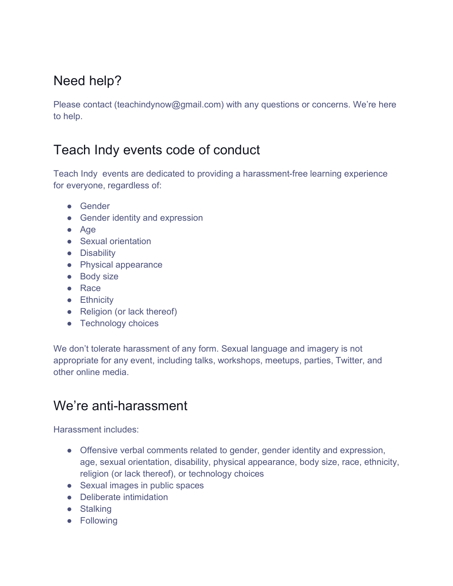## Need help?

Please contact (teachindynow@gmail.com) with any questions or concerns. We're here to help.

### Teach Indy events code of conduct

Teach Indy events are dedicated to providing a harassment-free learning experience for everyone, regardless of:

- Gender
- Gender identity and expression
- Age
- Sexual orientation
- Disability
- Physical appearance
- Body size
- Race
- Ethnicity
- Religion (or lack thereof)
- Technology choices

We don't tolerate harassment of any form. Sexual language and imagery is not appropriate for any event, including talks, workshops, meetups, parties, Twitter, and other online media.

#### We're anti-harassment

Harassment includes:

- Offensive verbal comments related to gender, gender identity and expression, age, sexual orientation, disability, physical appearance, body size, race, ethnicity, religion (or lack thereof), or technology choices
- Sexual images in public spaces
- Deliberate intimidation
- Stalking
- Following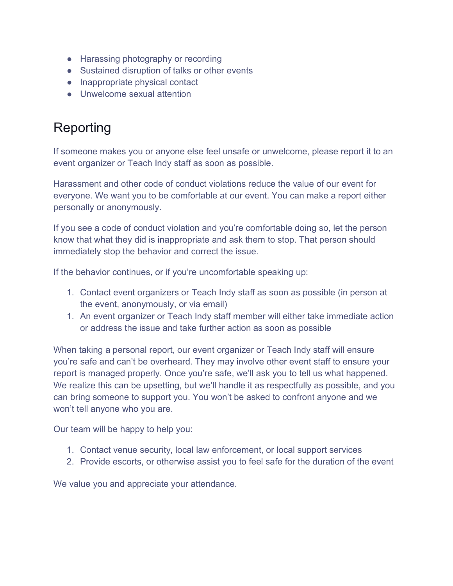- Harassing photography or recording
- Sustained disruption of talks or other events
- Inappropriate physical contact
- Unwelcome sexual attention

# Reporting

If someone makes you or anyone else feel unsafe or unwelcome, please report it to an event organizer or Teach Indy staff as soon as possible.

Harassment and other code of conduct violations reduce the value of our event for everyone. We want you to be comfortable at our event. You can make a report either personally or anonymously.

If you see a code of conduct violation and you're comfortable doing so, let the person know that what they did is inappropriate and ask them to stop. That person should immediately stop the behavior and correct the issue.

If the behavior continues, or if you're uncomfortable speaking up:

- 1. Contact event organizers or Teach Indy staff as soon as possible (in person at the event, anonymously, or via email)
- 1. An event organizer or Teach Indy staff member will either take immediate action or address the issue and take further action as soon as possible

When taking a personal report, our event organizer or Teach Indy staff will ensure you're safe and can't be overheard. They may involve other event staff to ensure your report is managed properly. Once you're safe, we'll ask you to tell us what happened. We realize this can be upsetting, but we'll handle it as respectfully as possible, and you can bring someone to support you. You won't be asked to confront anyone and we won't tell anyone who you are.

Our team will be happy to help you:

- 1. Contact venue security, local law enforcement, or local support services
- 2. Provide escorts, or otherwise assist you to feel safe for the duration of the event

We value you and appreciate your attendance.